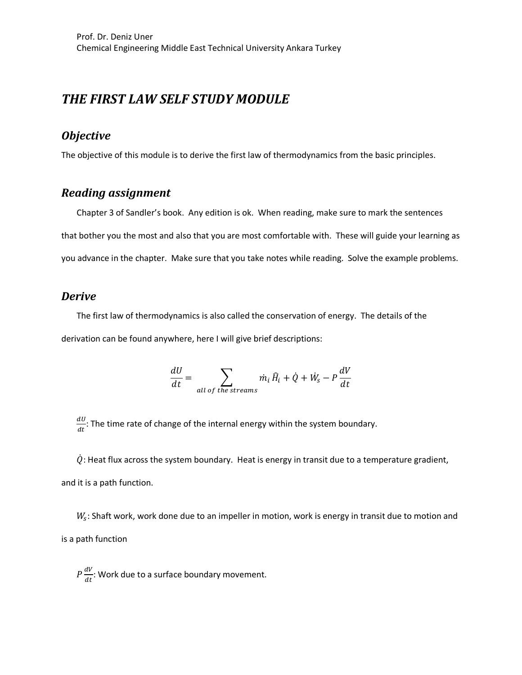## *THE FIRST LAW SELF STUDY MODULE*

### *Objective*

The objective of this module is to derive the first law of thermodynamics from the basic principles.

### *Reading assignment*

Chapter 3 of Sandler's book. Any edition is ok. When reading, make sure to mark the sentences that bother you the most and also that you are most comfortable with. These will guide your learning as you advance in the chapter. Make sure that you take notes while reading. Solve the example problems.

#### *Derive*

The first law of thermodynamics is also called the conservation of energy. The details of the derivation can be found anywhere, here I will give brief descriptions:

$$
\frac{dU}{dt} = \sum_{all \ of \ the \ streams} \dot{m}_i \,\hat{H}_i + \dot{Q} + \dot{W}_s - P\frac{dV}{dt}
$$

 $\frac{dU}{dt}$ : The time rate of change of the internal energy within the system boundary.

 $\dot{Q}$ : Heat flux across the system boundary. Heat is energy in transit due to a temperature gradient, and it is a path function.

 $W_s$ : Shaft work, work done due to an impeller in motion, work is energy in transit due to motion and is a path function

 $P\frac{dV}{dt}$ : Work due to a surface boundary movement.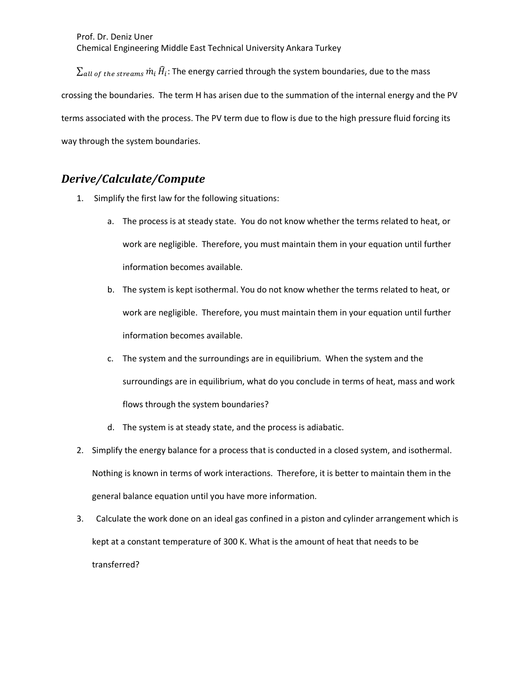$\Sigma_{all\ of\ the\ streams}\dot{m}_i\,\hat{H}_i$ : The energy carried through the system boundaries, due to the mass crossing the boundaries. The term H has arisen due to the summation of the internal energy and the PV terms associated with the process. The PV term due to flow is due to the high pressure fluid forcing its way through the system boundaries.

## *Derive/Calculate/Compute*

- 1. Simplify the first law for the following situations:
	- a. The process is at steady state. You do not know whether the terms related to heat, or work are negligible. Therefore, you must maintain them in your equation until further information becomes available.
	- b. The system is kept isothermal. You do not know whether the terms related to heat, or work are negligible. Therefore, you must maintain them in your equation until further information becomes available.
	- c. The system and the surroundings are in equilibrium. When the system and the surroundings are in equilibrium, what do you conclude in terms of heat, mass and work flows through the system boundaries?
	- d. The system is at steady state, and the process is adiabatic.
- 2. Simplify the energy balance for a process that is conducted in a closed system, and isothermal. Nothing is known in terms of work interactions. Therefore, it is better to maintain them in the general balance equation until you have more information.
- 3. Calculate the work done on an ideal gas confined in a piston and cylinder arrangement which is kept at a constant temperature of 300 K. What is the amount of heat that needs to be transferred?